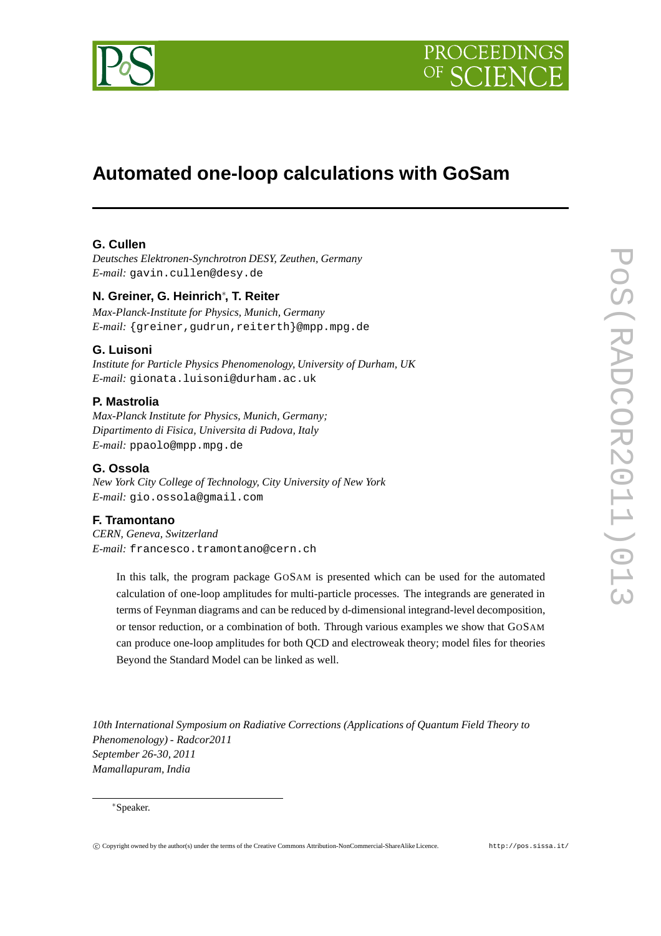



# **Automated one-loop calculations with GoSam**

# **G. Cullen**

*Deutsches Elektronen-Synchrotron DESY, Zeuthen, Germany E-mail:* gavin.cullen@desy.de

# **N. Greiner, G. Heinrich**∗ **, T. Reiter**

*Max-Planck-Institute for Physics, Munich, Germany E-mail:* {greiner,gudrun,reiterth}@mpp.mpg.de

## **G. Luisoni**

*Institute for Particle Physics Phenomenology, University of Durham, UK E-mail:* gionata.luisoni@durham.ac.uk

## **P. Mastrolia**

*Max-Planck Institute for Physics, Munich, Germany; Dipartimento di Fisica, Universita di Padova, Italy E-mail:* ppaolo@mpp.mpg.de

## **G. Ossola**

*New York City College of Technology, City University of New York E-mail:* gio.ossola@gmail.com

## **F. Tramontano**

*CERN, Geneva, Switzerland E-mail:* francesco.tramontano@cern.ch

> In this talk, the program package GOSAM is presented which can be used for the automated calculation of one-loop amplitudes for multi-particle processes. The integrands are generated in terms of Feynman diagrams and can be reduced by d-dimensional integrand-level decomposition, or tensor reduction, or a combination of both. Through various examples we show that GOSAM can produce one-loop amplitudes for both QCD and electroweak theory; model files for theories Beyond the Standard Model can be linked as well.

*10th International Symposium on Radiative Corrections (Applications of Quantum Field Theory to Phenomenology) - Radcor2011 September 26-30, 2011 Mamallapuram, India*

#### ∗Speaker.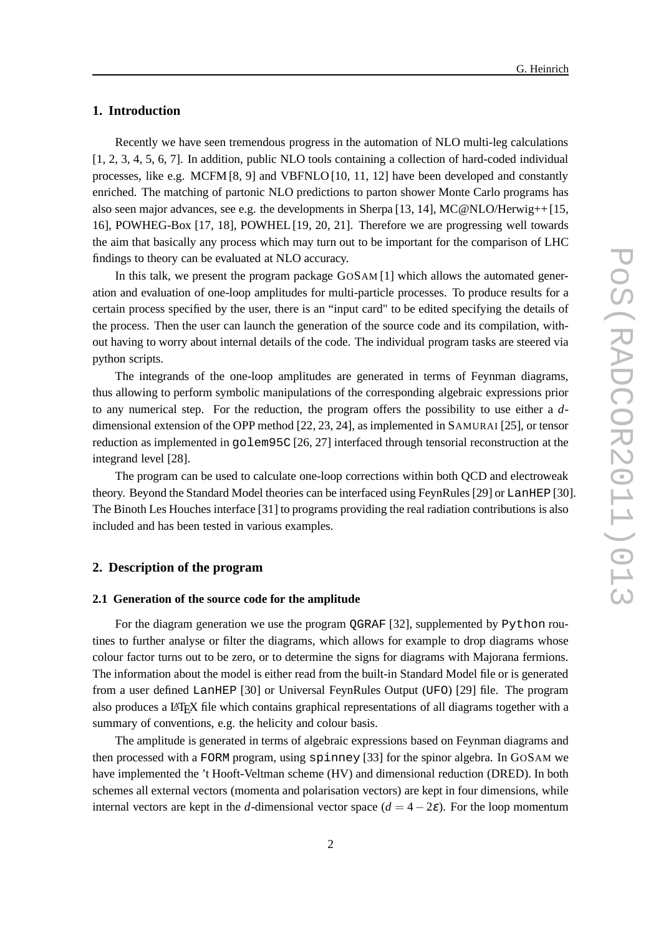## **1. Introduction**

Recently we have seen tremendous progress in the automation of NLO multi-leg calculations [1, 2, 3, 4, 5, 6, 7]. In addition, public NLO tools containing a collection of hard-coded individual processes, like e.g. MCFM [8, 9] and VBFNLO [10, 11, 12] have been developed and constantly enriched. The matching of partonic NLO predictions to parton shower Monte Carlo programs has also seen major advances, see e.g. the developments in Sherpa [13, 14], MC@NLO/Herwig++ [15, 16], POWHEG-Box [17, 18], POWHEL [19, 20, 21]. Therefore we are progressing well towards the aim that basically any process which may turn out to be important for the comparison of LHC findings to theory can be evaluated at NLO accuracy.

In this talk, we present the program package GOSAM [1] which allows the automated generation and evaluation of one-loop amplitudes for multi-particle processes. To produce results for a certain process specified by the user, there is an "input card" to be edited specifying the details of the process. Then the user can launch the generation of the source code and its compilation, without having to worry about internal details of the code. The individual program tasks are steered via python scripts.

The integrands of the one-loop amplitudes are generated in terms of Feynman diagrams, thus allowing to perform symbolic manipulations of the corresponding algebraic expressions prior to any numerical step. For the reduction, the program offers the possibility to use either a *d*dimensional extension of the OPP method [22, 23, 24], as implemented in SAMURAI [25], or tensor reduction as implemented in golem95C [26, 27] interfaced through tensorial reconstruction at the integrand level [28].

The program can be used to calculate one-loop corrections within both QCD and electroweak theory. Beyond the Standard Model theories can be interfaced using FeynRules [29] or LanHEP [30]. The Binoth Les Houches interface [31] to programs providing the real radiation contributions is also included and has been tested in various examples.

## **2. Description of the program**

#### **2.1 Generation of the source code for the amplitude**

For the diagram generation we use the program QGRAF [32], supplemented by Python routines to further analyse or filter the diagrams, which allows for example to drop diagrams whose colour factor turns out to be zero, or to determine the signs for diagrams with Majorana fermions. The information about the model is either read from the built-in Standard Model file or is generated from a user defined LanHEP [30] or Universal FeynRules Output (UFO) [29] file. The program also produces a LATEX file which contains graphical representations of all diagrams together with a summary of conventions, e.g. the helicity and colour basis.

The amplitude is generated in terms of algebraic expressions based on Feynman diagrams and then processed with a FORM program, using spinney [33] for the spinor algebra. In GOSAM we have implemented the 't Hooft-Veltman scheme (HV) and dimensional reduction (DRED). In both schemes all external vectors (momenta and polarisation vectors) are kept in four dimensions, while internal vectors are kept in the *d*-dimensional vector space  $(d = 4 - 2\varepsilon)$ . For the loop momentum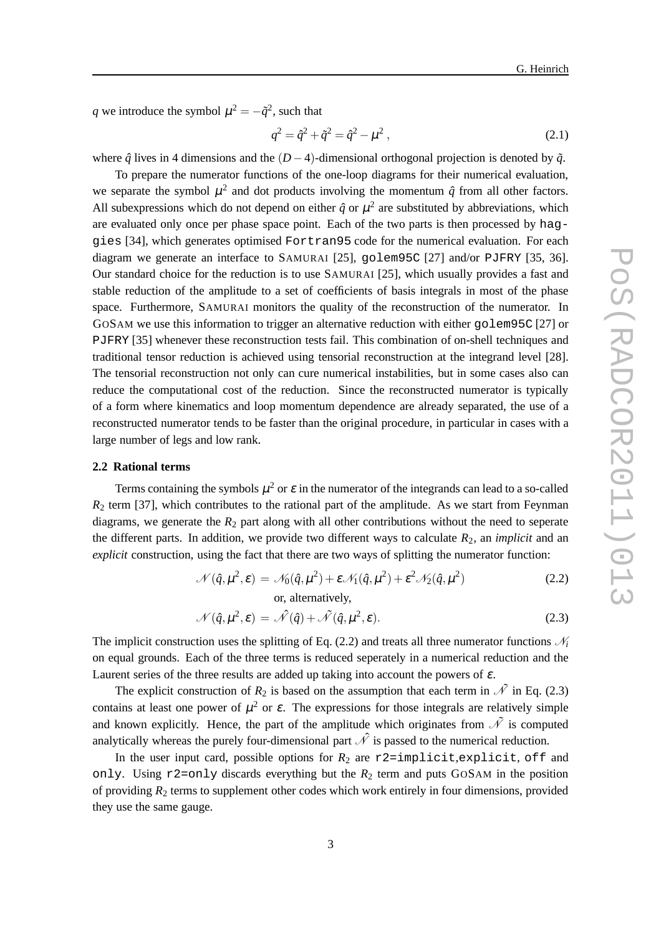*q* we introduce the symbol  $\mu^2 = -\tilde{q}^2$ , such that

$$
q^2 = \hat{q}^2 + \tilde{q}^2 = \hat{q}^2 - \mu^2 \,,\tag{2.1}
$$

where  $\hat{q}$  lives in 4 dimensions and the  $(D-4)$ -dimensional orthogonal projection is denoted by  $\tilde{q}$ .

To prepare the numerator functions of the one-loop diagrams for their numerical evaluation, we separate the symbol  $\mu^2$  and dot products involving the momentum  $\hat{q}$  from all other factors. All subexpressions which do not depend on either  $\hat{q}$  or  $\mu^2$  are substituted by abbreviations, which are evaluated only once per phase space point. Each of the two parts is then processed by haggies [34], which generates optimised Fortran95 code for the numerical evaluation. For each diagram we generate an interface to SAMURAI [25], golem95C [27] and/or PJFRY [35, 36]. Our standard choice for the reduction is to use SAMURAI [25], which usually provides a fast and stable reduction of the amplitude to a set of coefficients of basis integrals in most of the phase space. Furthermore, SAMURAI monitors the quality of the reconstruction of the numerator. In GOSAM we use this information to trigger an alternative reduction with either golem95C [27] or PJFRY [35] whenever these reconstruction tests fail. This combination of on-shell techniques and traditional tensor reduction is achieved using tensorial reconstruction at the integrand level [28]. The tensorial reconstruction not only can cure numerical instabilities, but in some cases also can reduce the computational cost of the reduction. Since the reconstructed numerator is typically of a form where kinematics and loop momentum dependence are already separated, the use of a reconstructed numerator tends to be faster than the original procedure, in particular in cases with a large number of legs and low rank.

## **2.2 Rational terms**

Terms containing the symbols  $\mu^2$  or  $\varepsilon$  in the numerator of the integrands can lead to a so-called  $R<sub>2</sub>$  term [37], which contributes to the rational part of the amplitude. As we start from Feynman diagrams, we generate the  $R_2$  part along with all other contributions without the need to seperate the different parts. In addition, we provide two different ways to calculate  $R_2$ , an *implicit* and an *explicit* construction, using the fact that there are two ways of splitting the numerator function:

$$
\mathcal{N}(\hat{q}, \mu^2, \varepsilon) = \mathcal{N}_0(\hat{q}, \mu^2) + \varepsilon \mathcal{N}_1(\hat{q}, \mu^2) + \varepsilon^2 \mathcal{N}_2(\hat{q}, \mu^2)
$$
\nor, alternatively, (2.2)

$$
\mathcal{N}(\hat{q}, \mu^2, \varepsilon) = \hat{\mathcal{N}}(\hat{q}) + \tilde{\mathcal{N}}(\hat{q}, \mu^2, \varepsilon).
$$
 (2.3)

The implicit construction uses the splitting of Eq. (2.2) and treats all three numerator functions  $\mathcal{N}_i$ on equal grounds. Each of the three terms is reduced seperately in a numerical reduction and the Laurent series of the three results are added up taking into account the powers of  $\varepsilon$ .

The explicit construction of  $R_2$  is based on the assumption that each term in  $\tilde{\mathcal{N}}$  in Eq. (2.3) contains at least one power of  $\mu^2$  or  $\varepsilon$ . The expressions for those integrals are relatively simple and known explicitly. Hence, the part of the amplitude which originates from  $\tilde{\mathcal{N}}$  is computed analytically whereas the purely four-dimensional part  $\hat{\mathcal{N}}$  is passed to the numerical reduction.

In the user input card, possible options for  $R_2$  are  $r2$ =implicit,explicit, off and only. Using  $r2=$ only discards everything but the  $R_2$  term and puts GOSAM in the position of providing  $R_2$  terms to supplement other codes which work entirely in four dimensions, provided they use the same gauge.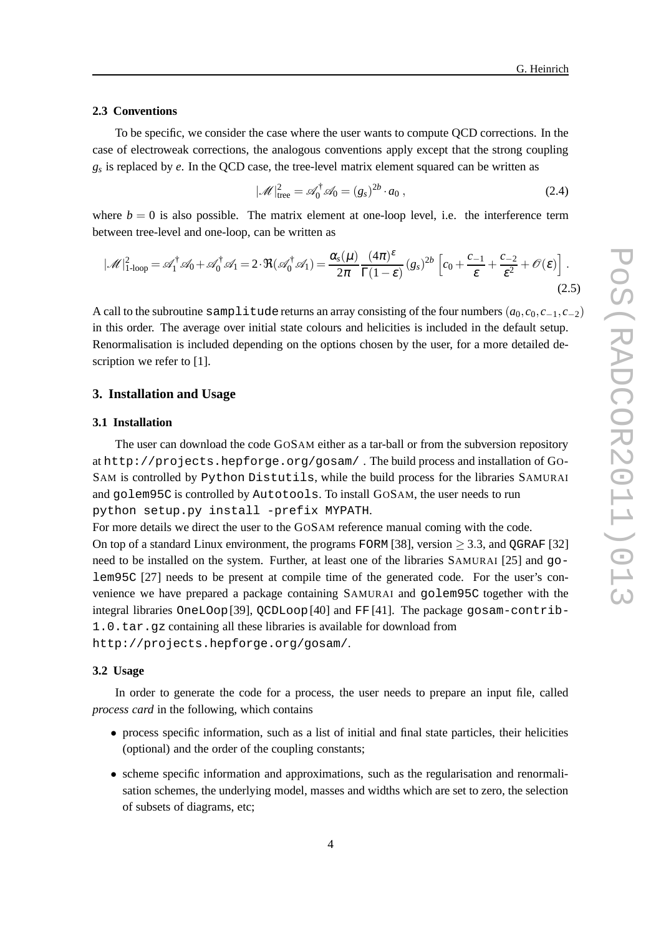## **2.3 Conventions**

To be specific, we consider the case where the user wants to compute QCD corrections. In the case of electroweak corrections, the analogous conventions apply except that the strong coupling *gs* is replaced by *e*. In the QCD case, the tree-level matrix element squared can be written as

$$
|\mathcal{M}|_{\text{tree}}^2 = \mathcal{A}_0^{\dagger} \mathcal{A}_0 = (g_s)^{2b} \cdot a_0 ,\qquad (2.4)
$$

where  $b = 0$  is also possible. The matrix element at one-loop level, i.e. the interference term between tree-level and one-loop, can be written as

$$
|\mathcal{M}|_{1\text{-loop}}^2 = \mathcal{A}_1^{\dagger} \mathcal{A}_0 + \mathcal{A}_0^{\dagger} \mathcal{A}_1 = 2 \cdot \Re(\mathcal{A}_0^{\dagger} \mathcal{A}_1) = \frac{\alpha_s(\mu)}{2\pi} \frac{(4\pi)^{\varepsilon}}{\Gamma(1-\varepsilon)} (g_s)^{2b} \left[ c_0 + \frac{c_{-1}}{\varepsilon} + \frac{c_{-2}}{\varepsilon^2} + \mathcal{O}(\varepsilon) \right].
$$
\n(2.5)

A call to the subroutine samplitude returns an array consisting of the four numbers  $(a_0, c_0, c_{-1}, c_{-2})$ in this order. The average over initial state colours and helicities is included in the default setup. Renormalisation is included depending on the options chosen by the user, for a more detailed description we refer to [1].

## **3. Installation and Usage**

#### **3.1 Installation**

The user can download the code GOSAM either as a tar-ball or from the subversion repository at http://projects.hepforge.org/gosam/ . The build process and installation of GO-SAM is controlled by Python Distutils, while the build process for the libraries SAMURAI and golem95C is controlled by Autotools. To install GOSAM, the user needs to run python setup.py install -prefix MYPATH.

For more details we direct the user to the GOSAM reference manual coming with the code.

On top of a standard Linux environment, the programs FORM [38], version  $>$  3.3, and QGRAF [32] need to be installed on the system. Further, at least one of the libraries SAMURAI [25] and golem95C [27] needs to be present at compile time of the generated code. For the user's convenience we have prepared a package containing SAMURAI and golem95C together with the integral libraries OneLOop[39], QCDLoop[40] and FF [41]. The package gosam-contrib-1.0.tar.gz containing all these libraries is available for download from http://projects.hepforge.org/gosam/.

#### **3.2 Usage**

In order to generate the code for a process, the user needs to prepare an input file, called *process card* in the following, which contains

- process specific information, such as a list of initial and final state particles, their helicities (optional) and the order of the coupling constants;
- scheme specific information and approximations, such as the regularisation and renormalisation schemes, the underlying model, masses and widths which are set to zero, the selection of subsets of diagrams, etc;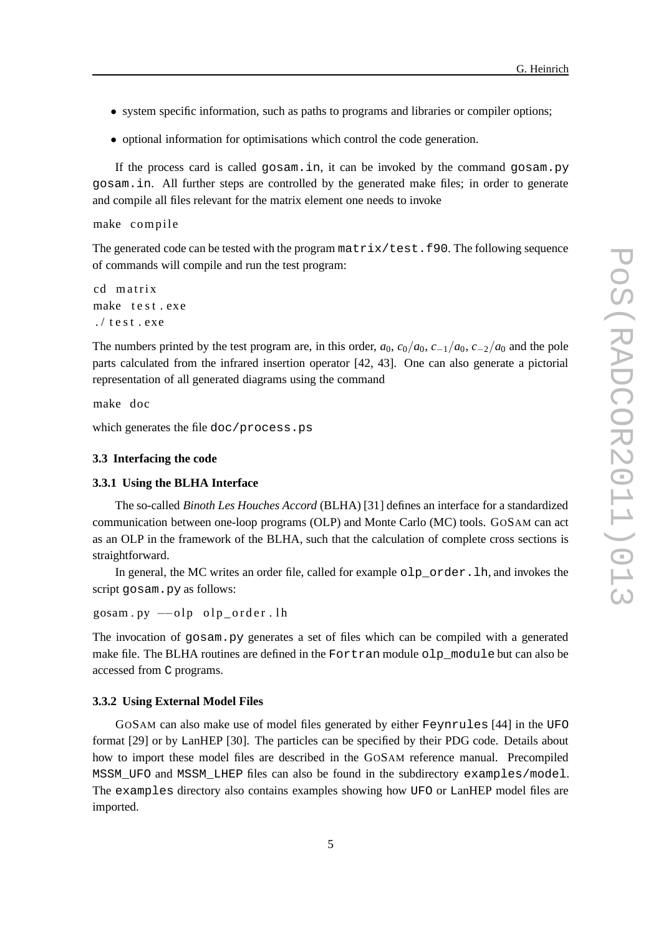- system specific information, such as paths to programs and libraries or compiler options;
- optional information for optimisations which control the code generation.

If the process card is called gosam.in, it can be invoked by the command gosam.py gosam.in. All further steps are controlled by the generated make files; in order to generate and compile all files relevant for the matrix element one needs to invoke

```
make compile
```
The generated code can be tested with the program  $matrix/test.f90$ . The following sequence of commands will compile and run the test program:

```
cd matrix
make test.exe
./ test. exe
```
The numbers printed by the test program are, in this order,  $a_0$ ,  $c_0/a_0$ ,  $c_{-1}/a_0$ ,  $c_{-2}/a_0$  and the pole parts calculated from the infrared insertion operator [42, 43]. One can also generate a pictorial representation of all generated diagrams using the command

make doc

which generates the file doc/process.ps

## **3.3 Interfacing the code**

#### **3.3.1 Using the BLHA Interface**

The so-called *Binoth Les Houches Accord* (BLHA) [31] defines an interface for a standardized communication between one-loop programs (OLP) and Monte Carlo (MC) tools. GOSAM can act as an OLP in the framework of the BLHA, such that the calculation of complete cross sections is straightforward.

In general, the MC writes an order file, called for example  $\text{olp\_order}.lh$ , and invokes the script gosam.py as follows:

gosam.py --olp olp\_order.lh

The invocation of gosam.py generates a set of files which can be compiled with a generated make file. The BLHA routines are defined in the Fortran module olp module but can also be accessed from C programs.

#### **3.3.2 Using External Model Files**

GOSAM can also make use of model files generated by either Feynrules [44] in the UFO format [29] or by LanHEP [30]. The particles can be specified by their PDG code. Details about how to import these model files are described in the GOSAM reference manual. Precompiled MSSM\_UFO and MSSM\_LHEP files can also be found in the subdirectory examples/model. The examples directory also contains examples showing how UFO or LanHEP model files are imported.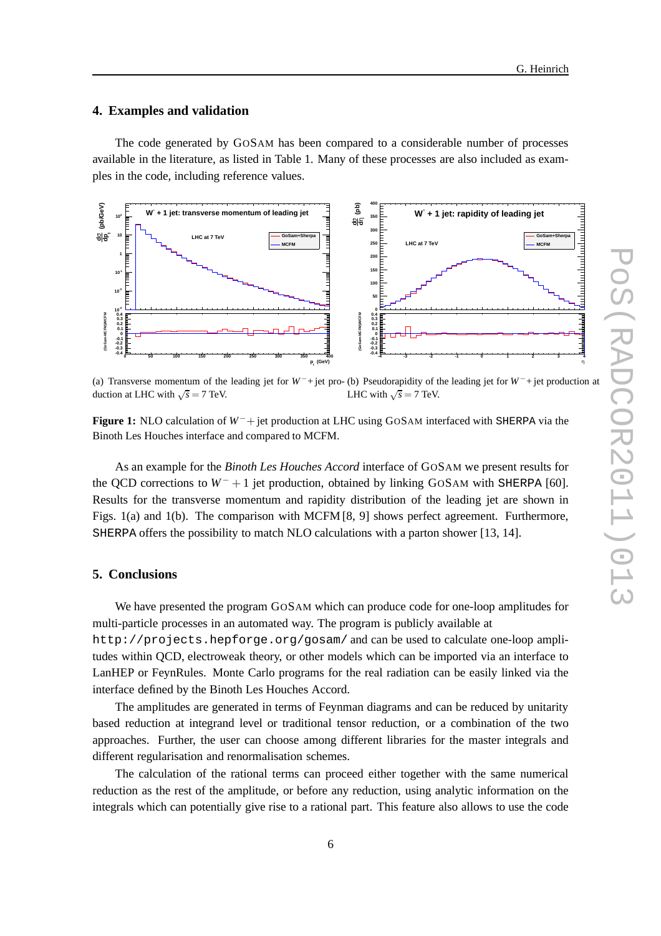#### **4. Examples and validation**

The code generated by GOSAM has been compared to a considerable number of processes available in the literature, as listed in Table 1. Many of these processes are also included as examples in the code, including reference values.



(a) Transverse momentum of the leading jet for *W*−+ jet pro-(b) Pseudorapidity of the leading jet for *W*−+ jet production at duction at LHC with  $\sqrt{s} = 7$  TeV. LHC with  $\sqrt{s} = 7$  TeV.

**Figure 1:** NLO calculation of *W*−+ jet production at LHC using GOSAM interfaced with SHERPA via the Binoth Les Houches interface and compared to MCFM.

As an example for the *Binoth Les Houches Accord* interface of GOSAM we present results for the QCD corrections to *W*− + 1 jet production, obtained by linking GOSAM with SHERPA [60]. Results for the transverse momentum and rapidity distribution of the leading jet are shown in Figs. 1(a) and 1(b). The comparison with MCFM [8, 9] shows perfect agreement. Furthermore, SHERPA offers the possibility to match NLO calculations with a parton shower [13, 14].

## **5. Conclusions**

We have presented the program GOSAM which can produce code for one-loop amplitudes for multi-particle processes in an automated way. The program is publicly available at

http://projects.hepforge.org/gosam/ and can be used to calculate one-loop amplitudes within QCD, electroweak theory, or other models which can be imported via an interface to LanHEP or FeynRules. Monte Carlo programs for the real radiation can be easily linked via the interface defined by the Binoth Les Houches Accord.

The amplitudes are generated in terms of Feynman diagrams and can be reduced by unitarity based reduction at integrand level or traditional tensor reduction, or a combination of the two approaches. Further, the user can choose among different libraries for the master integrals and different regularisation and renormalisation schemes.

The calculation of the rational terms can proceed either together with the same numerical reduction as the rest of the amplitude, or before any reduction, using analytic information on the integrals which can potentially give rise to a rational part. This feature also allows to use the code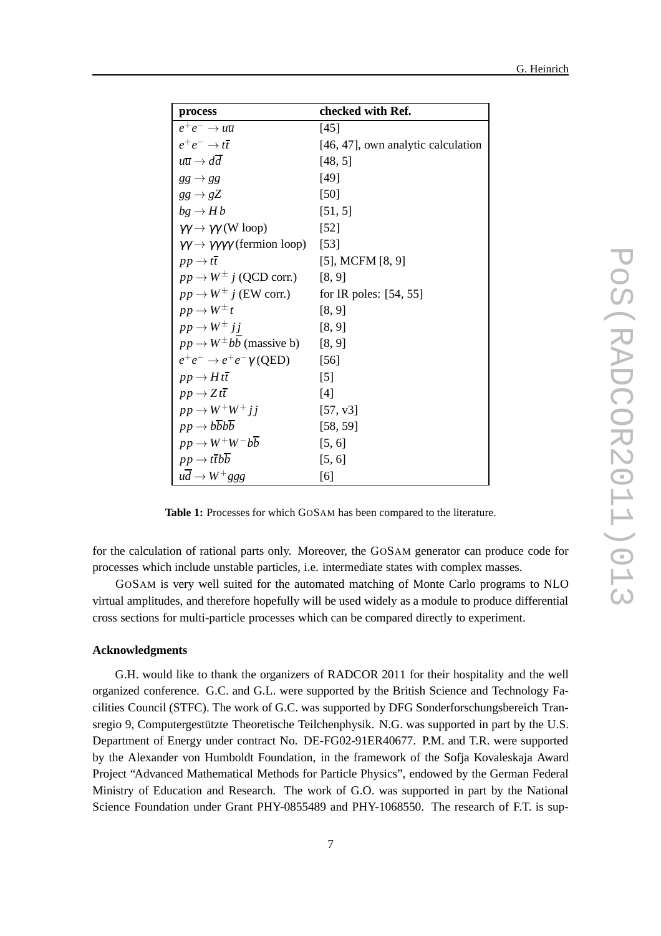|  | G. Heinrich |
|--|-------------|
|  |             |

| process                                                            | checked with Ref.                  |
|--------------------------------------------------------------------|------------------------------------|
| $e^+e^- \rightarrow u\overline{u}$                                 | $[45]$                             |
| $e^+e^- \rightarrow t\overline{t}$                                 | [46, 47], own analytic calculation |
| $u\overline{u} \rightarrow dd$                                     | [48, 5]                            |
| $gg \rightarrow gg$                                                | [49]                               |
| $gg \to gZ$                                                        | [50]                               |
| $bg \rightarrow Hb$                                                | [51, 5]                            |
| $\gamma\gamma \rightarrow \gamma\gamma$ (W loop)                   | $\left[52\right]$                  |
| $\gamma\gamma \rightarrow \gamma\gamma\gamma\gamma$ (fermion loop) | [53]                               |
| $pp \rightarrow t\overline{t}$                                     | $[5]$ , MCFM $[8, 9]$              |
| $pp \rightarrow W^{\pm}$ <i>i</i> (QCD corr.)                      | [8, 9]                             |
| $pp \rightarrow W^{\pm} j$ (EW corr.)                              | for IR poles: $[54, 55]$           |
| $pp \rightarrow W^{\pm} t$                                         | [8, 9]                             |
| $pp \rightarrow W^{\pm} j j$                                       | [8, 9]                             |
| $pp \rightarrow W^{\pm} b\bar{b}$ (massive b) [8, 9]               |                                    |
| $e^+e^- \rightarrow e^+e^- \gamma$ (QED)                           | $[56]$                             |
| $pp \rightarrow H t \overline{t}$                                  | $\lceil 5 \rceil$                  |
| $pp \rightarrow Z t \overline{t}$                                  | [4]                                |
| $pp \rightarrow W^{+}W^{+}$ i i                                    | [57, v3]                           |
| $pp \rightarrow b\overline{b}b\overline{b}$                        | [58, 59]                           |
| $pp \rightarrow W^+W^-b\overline{b}$                               | [5, 6]                             |
| $pp \rightarrow t\bar{t}b\bar{b}$                                  | [5, 6]                             |
| $u\overline{d} \rightarrow W^+ g g g$                              | [6]                                |

**Table 1:** Processes for which GOSAM has been compared to the literature.

for the calculation of rational parts only. Moreover, the GOSAM generator can produce code for processes which include unstable particles, i.e. intermediate states with complex masses.

GOSAM is very well suited for the automated matching of Monte Carlo programs to NLO virtual amplitudes, and therefore hopefully will be used widely as a module to produce differential cross sections for multi-particle processes which can be compared directly to experiment.

## **Acknowledgments**

G.H. would like to thank the organizers of RADCOR 2011 for their hospitality and the well organized conference. G.C. and G.L. were supported by the British Science and Technology Facilities Council (STFC). The work of G.C. was supported by DFG Sonderforschungsbereich Transregio 9, Computergestützte Theoretische Teilchenphysik. N.G. was supported in part by the U.S. Department of Energy under contract No. DE-FG02-91ER40677. P.M. and T.R. were supported by the Alexander von Humboldt Foundation, in the framework of the Sofja Kovaleskaja Award Project "Advanced Mathematical Methods for Particle Physics", endowed by the German Federal Ministry of Education and Research. The work of G.O. was supported in part by the National Science Foundation under Grant PHY-0855489 and PHY-1068550. The research of F.T. is sup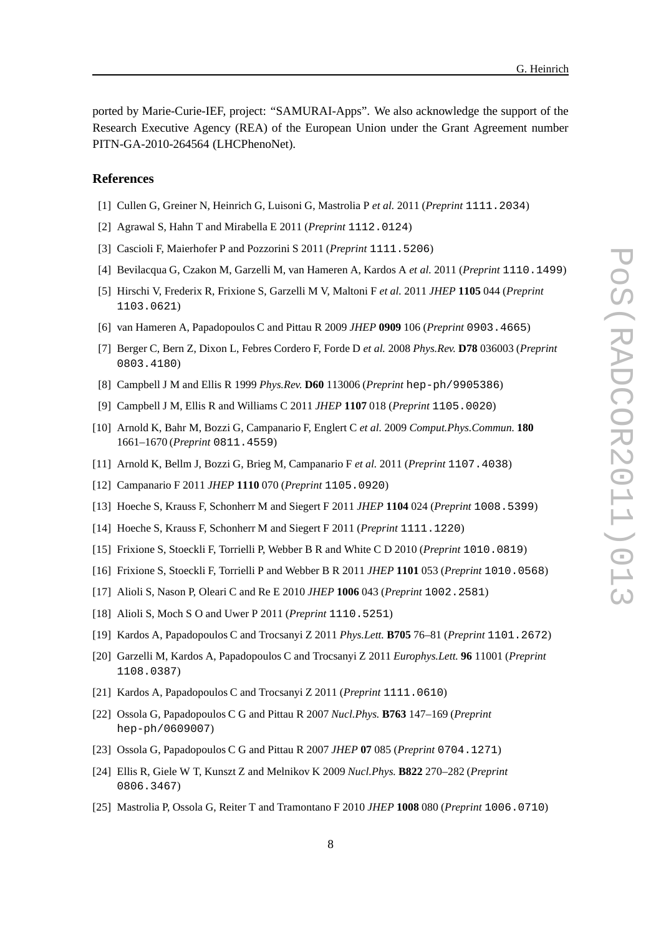ported by Marie-Curie-IEF, project: "SAMURAI-Apps". We also acknowledge the support of the Research Executive Agency (REA) of the European Union under the Grant Agreement number PITN-GA-2010-264564 (LHCPhenoNet).

## **References**

- [1] Cullen G, Greiner N, Heinrich G, Luisoni G, Mastrolia P *et al.* 2011 (*Preprint* 1111.2034)
- [2] Agrawal S, Hahn T and Mirabella E 2011 (*Preprint* 1112.0124)
- [3] Cascioli F, Maierhofer P and Pozzorini S 2011 (*Preprint* 1111.5206)
- [4] Bevilacqua G, Czakon M, Garzelli M, van Hameren A, Kardos A *et al.* 2011 (*Preprint* 1110.1499)
- [5] Hirschi V, Frederix R, Frixione S, Garzelli M V, Maltoni F *et al.* 2011 *JHEP* **1105** 044 (*Preprint* 1103.0621)
- [6] van Hameren A, Papadopoulos C and Pittau R 2009 *JHEP* **0909** 106 (*Preprint* 0903.4665)
- [7] Berger C, Bern Z, Dixon L, Febres Cordero F, Forde D *et al.* 2008 *Phys.Rev.* **D78** 036003 (*Preprint* 0803.4180)
- [8] Campbell J M and Ellis R 1999 *Phys.Rev.* **D60** 113006 (*Preprint* hep-ph/9905386)
- [9] Campbell J M, Ellis R and Williams C 2011 *JHEP* **1107** 018 (*Preprint* 1105.0020)
- [10] Arnold K, Bahr M, Bozzi G, Campanario F, Englert C *et al.* 2009 *Comput.Phys.Commun.* **180** 1661–1670 (*Preprint* 0811.4559)
- [11] Arnold K, Bellm J, Bozzi G, Brieg M, Campanario F *et al.* 2011 (*Preprint* 1107.4038)
- [12] Campanario F 2011 *JHEP* **1110** 070 (*Preprint* 1105.0920)
- [13] Hoeche S, Krauss F, Schonherr M and Siegert F 2011 *JHEP* **1104** 024 (*Preprint* 1008.5399)
- [14] Hoeche S, Krauss F, Schonherr M and Siegert F 2011 (*Preprint* 1111.1220)
- [15] Frixione S, Stoeckli F, Torrielli P, Webber B R and White C D 2010 (*Preprint* 1010.0819)
- [16] Frixione S, Stoeckli F, Torrielli P and Webber B R 2011 *JHEP* **1101** 053 (*Preprint* 1010.0568)
- [17] Alioli S, Nason P, Oleari C and Re E 2010 *JHEP* **1006** 043 (*Preprint* 1002.2581)
- [18] Alioli S, Moch S O and Uwer P 2011 (*Preprint* 1110.5251)
- [19] Kardos A, Papadopoulos C and Trocsanyi Z 2011 *Phys.Lett.* **B705** 76–81 (*Preprint* 1101.2672)
- [20] Garzelli M, Kardos A, Papadopoulos C and Trocsanyi Z 2011 *Europhys.Lett.* **96** 11001 (*Preprint* 1108.0387)
- [21] Kardos A, Papadopoulos C and Trocsanyi Z 2011 (*Preprint* 1111.0610)
- [22] Ossola G, Papadopoulos C G and Pittau R 2007 *Nucl.Phys.* **B763** 147–169 (*Preprint* hep-ph/0609007)
- [23] Ossola G, Papadopoulos C G and Pittau R 2007 *JHEP* **07** 085 (*Preprint* 0704.1271)
- [24] Ellis R, Giele W T, Kunszt Z and Melnikov K 2009 *Nucl.Phys.* **B822** 270–282 (*Preprint* 0806.3467)
- [25] Mastrolia P, Ossola G, Reiter T and Tramontano F 2010 *JHEP* **1008** 080 (*Preprint* 1006.0710)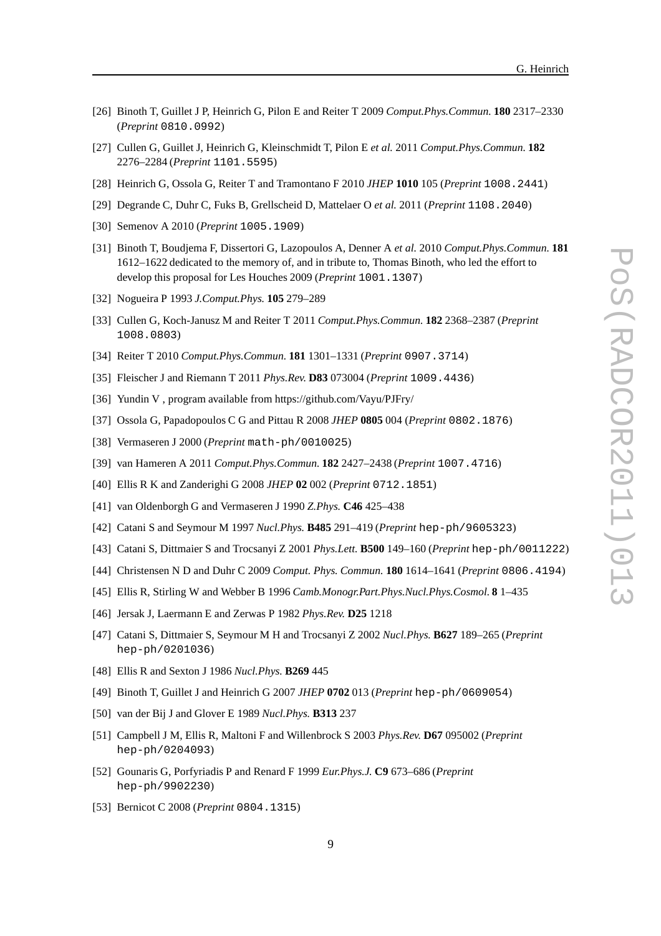- [26] Binoth T, Guillet J P, Heinrich G, Pilon E and Reiter T 2009 *Comput.Phys.Commun.* **180** 2317–2330 (*Preprint* 0810.0992)
- [27] Cullen G, Guillet J, Heinrich G, Kleinschmidt T, Pilon E *et al.* 2011 *Comput.Phys.Commun.* **182** 2276–2284 (*Preprint* 1101.5595)
- [28] Heinrich G, Ossola G, Reiter T and Tramontano F 2010 *JHEP* **1010** 105 (*Preprint* 1008.2441)
- [29] Degrande C, Duhr C, Fuks B, Grellscheid D, Mattelaer O *et al.* 2011 (*Preprint* 1108.2040)
- [30] Semenov A 2010 (*Preprint* 1005.1909)
- [31] Binoth T, Boudjema F, Dissertori G, Lazopoulos A, Denner A *et al.* 2010 *Comput.Phys.Commun.* **181** 1612–1622 dedicated to the memory of, and in tribute to, Thomas Binoth, who led the effort to develop this proposal for Les Houches 2009 (*Preprint* 1001.1307)
- [32] Nogueira P 1993 *J.Comput.Phys.* **105** 279–289
- [33] Cullen G, Koch-Janusz M and Reiter T 2011 *Comput.Phys.Commun.* **182** 2368–2387 (*Preprint* 1008.0803)
- [34] Reiter T 2010 *Comput.Phys.Commun.* **181** 1301–1331 (*Preprint* 0907.3714)
- [35] Fleischer J and Riemann T 2011 *Phys.Rev.* **D83** 073004 (*Preprint* 1009.4436)
- [36] Yundin V , program available from https://github.com/Vayu/PJFry/
- [37] Ossola G, Papadopoulos C G and Pittau R 2008 *JHEP* **0805** 004 (*Preprint* 0802.1876)
- [38] Vermaseren J 2000 (*Preprint* math-ph/0010025)
- [39] van Hameren A 2011 *Comput.Phys.Commun.* **182** 2427–2438 (*Preprint* 1007.4716)
- [40] Ellis R K and Zanderighi G 2008 *JHEP* **02** 002 (*Preprint* 0712.1851)
- [41] van Oldenborgh G and Vermaseren J 1990 *Z.Phys.* **C46** 425–438
- [42] Catani S and Seymour M 1997 *Nucl.Phys.* **B485** 291–419 (*Preprint* hep-ph/9605323)
- [43] Catani S, Dittmaier S and Trocsanyi Z 2001 *Phys.Lett.* **B500** 149–160 (*Preprint* hep-ph/0011222)
- [44] Christensen N D and Duhr C 2009 *Comput. Phys. Commun.* **180** 1614–1641 (*Preprint* 0806.4194)
- [45] Ellis R, Stirling W and Webber B 1996 *Camb.Monogr.Part.Phys.Nucl.Phys.Cosmol.* **8** 1–435
- [46] Jersak J, Laermann E and Zerwas P 1982 *Phys.Rev.* **D25** 1218
- [47] Catani S, Dittmaier S, Seymour M H and Trocsanyi Z 2002 *Nucl.Phys.* **B627** 189–265 (*Preprint* hep-ph/0201036)
- [48] Ellis R and Sexton J 1986 *Nucl.Phys.* **B269** 445
- [49] Binoth T, Guillet J and Heinrich G 2007 *JHEP* **0702** 013 (*Preprint* hep-ph/0609054)
- [50] van der Bij J and Glover E 1989 *Nucl.Phys.* **B313** 237
- [51] Campbell J M, Ellis R, Maltoni F and Willenbrock S 2003 *Phys.Rev.* **D67** 095002 (*Preprint* hep-ph/0204093)
- [52] Gounaris G, Porfyriadis P and Renard F 1999 *Eur.Phys.J.* **C9** 673–686 (*Preprint* hep-ph/9902230)
- [53] Bernicot C 2008 (*Preprint* 0804.1315)